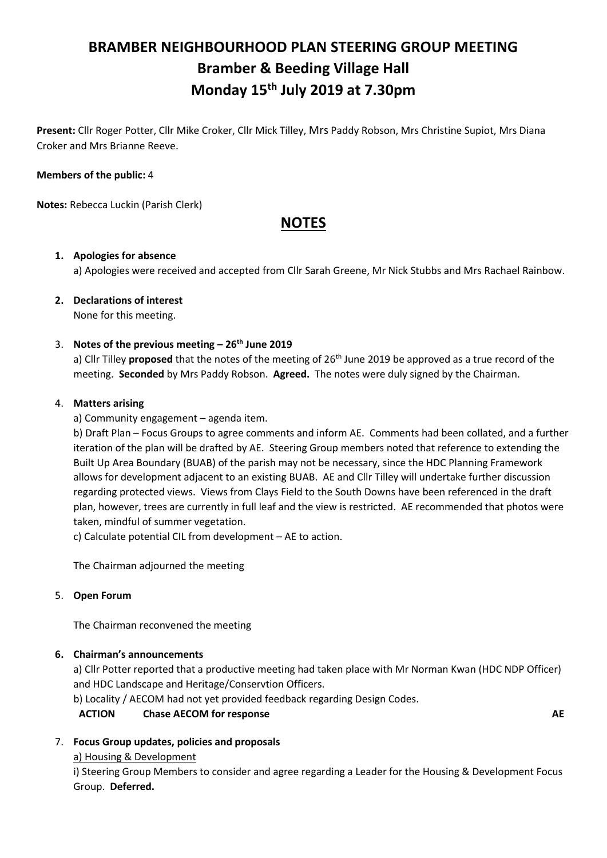# **BRAMBER NEIGHBOURHOOD PLAN STEERING GROUP MEETING Bramber & Beeding Village Hall Monday 15th July 2019 at 7.30pm**

**Present:** Cllr Roger Potter, Cllr Mike Croker, Cllr Mick Tilley, Mrs Paddy Robson, Mrs Christine Supiot, Mrs Diana Croker and Mrs Brianne Reeve.

### **Members of the public:** 4

**Notes:** Rebecca Luckin (Parish Clerk)

## **NOTES**

#### **1. Apologies for absence**

a) Apologies were received and accepted from Cllr Sarah Greene, Mr Nick Stubbs and Mrs Rachael Rainbow.

#### **2. Declarations of interest** None for this meeting.

### 3. **Notes of the previous meeting – 26th June 2019**

a) Cllr Tilley **proposed** that the notes of the meeting of 26<sup>th</sup> June 2019 be approved as a true record of the meeting. **Seconded** by Mrs Paddy Robson. **Agreed.** The notes were duly signed by the Chairman.

### 4. **Matters arising**

a) Community engagement – agenda item.

b) Draft Plan – Focus Groups to agree comments and inform AE. Comments had been collated, and a further iteration of the plan will be drafted by AE. Steering Group members noted that reference to extending the Built Up Area Boundary (BUAB) of the parish may not be necessary, since the HDC Planning Framework allows for development adjacent to an existing BUAB. AE and Cllr Tilley will undertake further discussion regarding protected views. Views from Clays Field to the South Downs have been referenced in the draft plan, however, trees are currently in full leaf and the view is restricted. AE recommended that photos were taken, mindful of summer vegetation.

c) Calculate potential CIL from development – AE to action.

The Chairman adjourned the meeting

### 5. **Open Forum**

The Chairman reconvened the meeting

### **6. Chairman's announcements**

a) Cllr Potter reported that a productive meeting had taken place with Mr Norman Kwan (HDC NDP Officer) and HDC Landscape and Heritage/Conservtion Officers.

b) Locality / AECOM had not yet provided feedback regarding Design Codes.

### **ACTION Chase AECOM for response AE**

### 7. **Focus Group updates, policies and proposals**

a) Housing & Development

i) Steering Group Members to consider and agree regarding a Leader for the Housing & Development Focus Group. **Deferred.**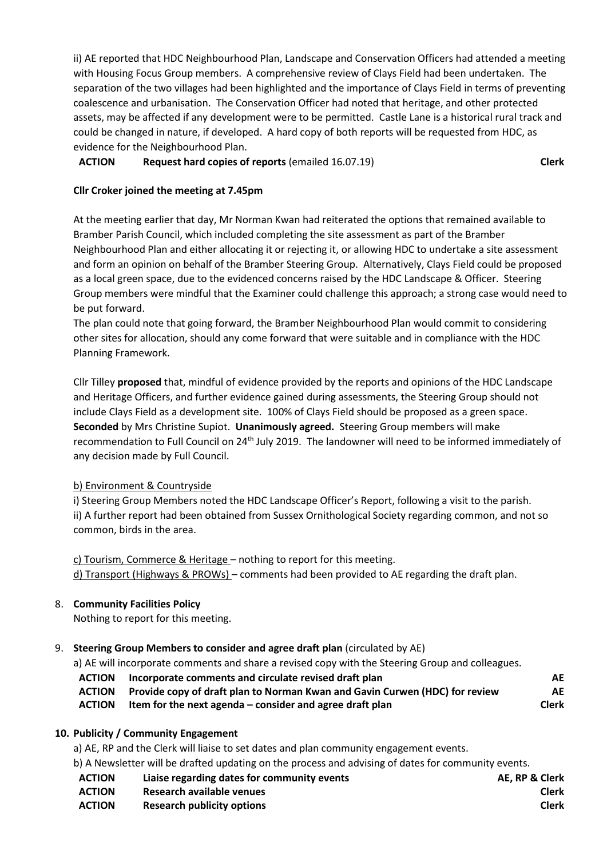ii) AE reported that HDC Neighbourhood Plan, Landscape and Conservation Officers had attended a meeting with Housing Focus Group members. A comprehensive review of Clays Field had been undertaken. The separation of the two villages had been highlighted and the importance of Clays Field in terms of preventing coalescence and urbanisation. The Conservation Officer had noted that heritage, and other protected assets, may be affected if any development were to be permitted. Castle Lane is a historical rural track and could be changed in nature, if developed. A hard copy of both reports will be requested from HDC, as evidence for the Neighbourhood Plan.

### **ACTION Request hard copies of reports** (emailed 16.07.19) **Clerk**

### **Cllr Croker joined the meeting at 7.45pm**

At the meeting earlier that day, Mr Norman Kwan had reiterated the options that remained available to Bramber Parish Council, which included completing the site assessment as part of the Bramber Neighbourhood Plan and either allocating it or rejecting it, or allowing HDC to undertake a site assessment and form an opinion on behalf of the Bramber Steering Group. Alternatively, Clays Field could be proposed as a local green space, due to the evidenced concerns raised by the HDC Landscape & Officer. Steering Group members were mindful that the Examiner could challenge this approach; a strong case would need to be put forward.

The plan could note that going forward, the Bramber Neighbourhood Plan would commit to considering other sites for allocation, should any come forward that were suitable and in compliance with the HDC Planning Framework.

Cllr Tilley **proposed** that, mindful of evidence provided by the reports and opinions of the HDC Landscape and Heritage Officers, and further evidence gained during assessments, the Steering Group should not include Clays Field as a development site. 100% of Clays Field should be proposed as a green space. **Seconded** by Mrs Christine Supiot. **Unanimously agreed.** Steering Group members will make recommendation to Full Council on 24th July 2019. The landowner will need to be informed immediately of any decision made by Full Council.

### b) Environment & Countryside

i) Steering Group Members noted the HDC Landscape Officer's Report, following a visit to the parish. ii) A further report had been obtained from Sussex Ornithological Society regarding common, and not so common, birds in the area.

c) Tourism, Commerce & Heritage – nothing to report for this meeting. d) Transport (Highways & PROWs) – comments had been provided to AE regarding the draft plan.

### 8. **Community Facilities Policy**

Nothing to report for this meeting.

### 9. **Steering Group Members to consider and agree draft plan** (circulated by AE)

a) AE will incorporate comments and share a revised copy with the Steering Group and colleagues.

- **ACTION Incorporate comments and circulate revised draft plan AE**
- **ACTION Provide copy of draft plan to Norman Kwan and Gavin Curwen (HDC) for review AE**
- **ACTION Item for the next agenda – consider and agree draft plan Clerk**

### **10. Publicity / Community Engagement**

a) AE, RP and the Clerk will liaise to set dates and plan community engagement events.

b) A Newsletter will be drafted updating on the process and advising of dates for community events.

- **ACTION Liaise regarding dates for community events AE, RP & Clerk**
- **ACTION Research available venues Clerk**
- **ACTION Research publicity options Clerk**